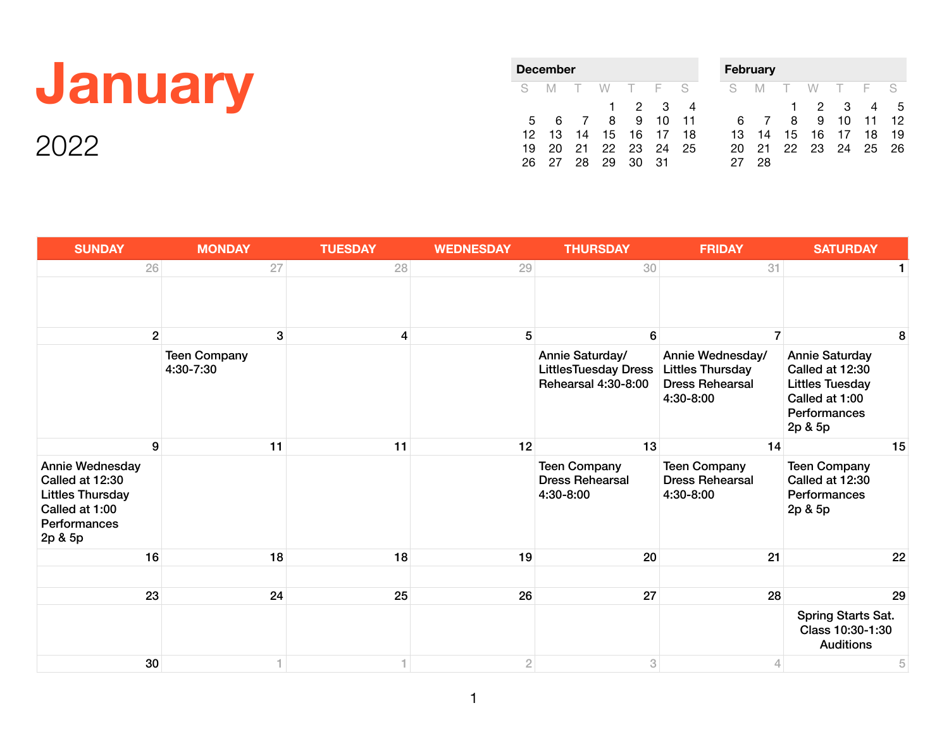## **January**

| December |     |                |              |          |    |    |  |  |  |
|----------|-----|----------------|--------------|----------|----|----|--|--|--|
| S.       | - M | $\top$         | W T F        |          |    | -S |  |  |  |
|          |     |                | $\mathbf{1}$ | 2        | з  |    |  |  |  |
| 5        | 6   | $\overline{7}$ | 8            | 9        | 10 | 11 |  |  |  |
| 12       | 13  | 14             |              | 15 16 17 |    | 18 |  |  |  |
| 19       | 20  |                | 21 22 23     |          | 24 | 25 |  |  |  |
|          | 27. | 28             | 29           | 30.      | 31 |    |  |  |  |

| Februarv |    |    |    |    |     |    |  |  |  |
|----------|----|----|----|----|-----|----|--|--|--|
| S        | M  | т  | W  | т  | - F | S  |  |  |  |
|          |    | 1  | 2  | З  |     | 5  |  |  |  |
| 6        |    | 8  | 9  | 10 | 11  | 12 |  |  |  |
| 13       | 14 | 15 | 16 | 17 | 18  | 19 |  |  |  |
| 20       | 21 | 22 | 23 | 24 | 25  | 26 |  |  |  |
|          | 28 |    |    |    |     |    |  |  |  |

| <b>SUNDAY</b>                                                                                              | <b>MONDAY</b>                    | <b>TUESDAY</b> | <b>WEDNESDAY</b> | <b>THURSDAY</b>                                                       | <b>FRIDAY</b>                                                                      | <b>SATURDAY</b>                                                                                                 |
|------------------------------------------------------------------------------------------------------------|----------------------------------|----------------|------------------|-----------------------------------------------------------------------|------------------------------------------------------------------------------------|-----------------------------------------------------------------------------------------------------------------|
| 26                                                                                                         | 27                               | 28             | 29               | 30                                                                    | 31                                                                                 |                                                                                                                 |
|                                                                                                            |                                  |                |                  |                                                                       |                                                                                    |                                                                                                                 |
| $\mathbf{2}$                                                                                               | 3                                | 4              | 5                | 6                                                                     | $\overline{7}$                                                                     | 8                                                                                                               |
|                                                                                                            | <b>Teen Company</b><br>4:30-7:30 |                |                  | Annie Saturday/<br><b>LittlesTuesday Dress</b><br>Rehearsal 4:30-8:00 | Annie Wednesday/<br><b>Littles Thursday</b><br><b>Dress Rehearsal</b><br>4:30-8:00 | <b>Annie Saturday</b><br>Called at 12:30<br><b>Littles Tuesday</b><br>Called at 1:00<br>Performances<br>2p & 5p |
| 9                                                                                                          | 11                               | 11             | 12               | 13                                                                    | 14                                                                                 | 15                                                                                                              |
| Annie Wednesday<br>Called at 12:30<br><b>Littles Thursday</b><br>Called at 1:00<br>Performances<br>2p & 5p |                                  |                |                  | <b>Teen Company</b><br><b>Dress Rehearsal</b><br>4:30-8:00            | <b>Teen Company</b><br><b>Dress Rehearsal</b><br>4:30-8:00                         | <b>Teen Company</b><br>Called at 12:30<br>Performances<br>2p & 5p                                               |
| 16                                                                                                         | 18                               | 18             | 19               | 20                                                                    | 21                                                                                 | 22                                                                                                              |
|                                                                                                            |                                  |                |                  |                                                                       |                                                                                    |                                                                                                                 |
| 23                                                                                                         | 24                               | 25             | 26               | 27                                                                    | 28                                                                                 | 29                                                                                                              |
|                                                                                                            |                                  |                |                  |                                                                       |                                                                                    | Spring Starts Sat.<br>Class 10:30-1:30<br><b>Auditions</b>                                                      |
| 30                                                                                                         |                                  |                | $\overline{2}$   | 3                                                                     | $\Delta$                                                                           | 5                                                                                                               |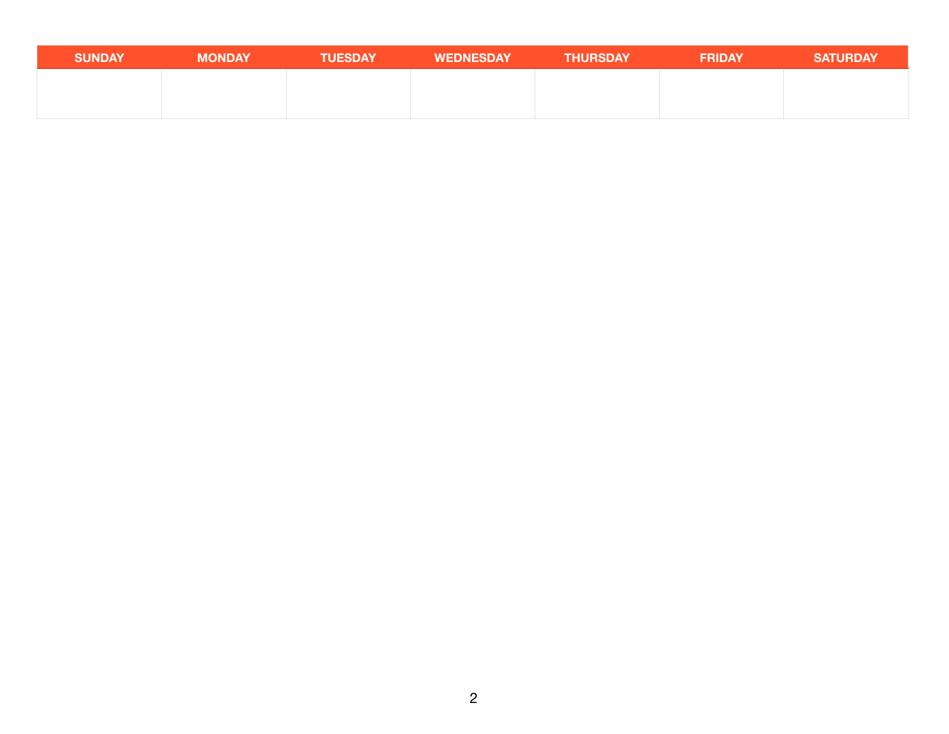| <b>SUNDAY</b> | <b>MONDAY</b> | <b>TUESDAY</b> | <b>WEDNESDAY</b> | <b>THURSDAY</b> | <b>FRIDAY</b> | <b>SATURDAY</b> |
|---------------|---------------|----------------|------------------|-----------------|---------------|-----------------|
|               |               |                |                  |                 |               |                 |
|               |               |                |                  |                 |               |                 |
|               |               |                |                  |                 |               |                 |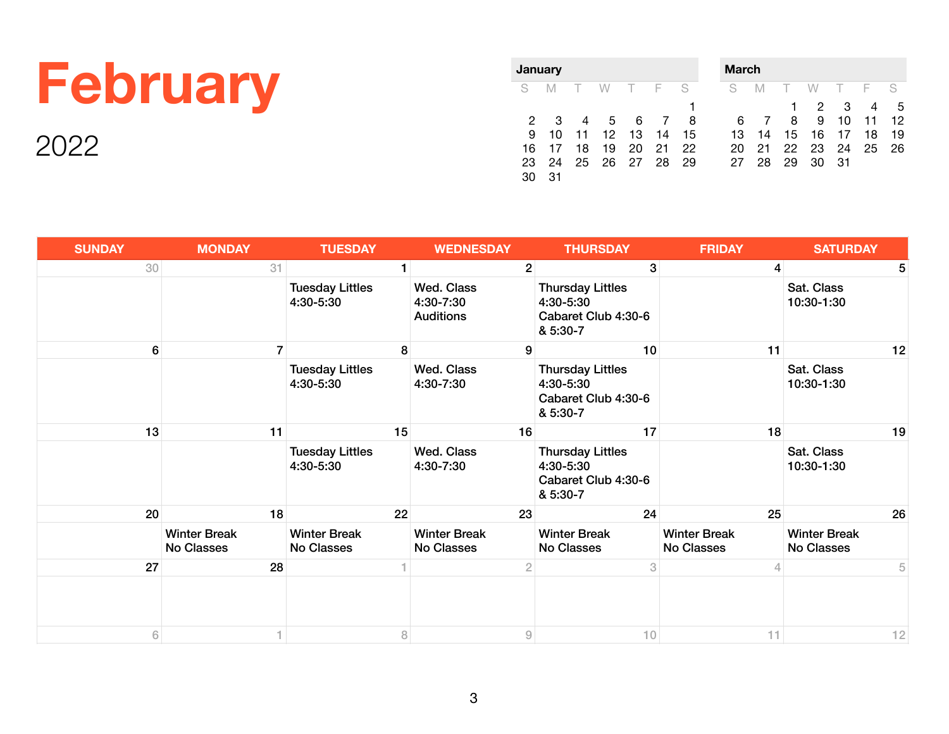## **February**

| <b>January</b> |    |        |    |     |     |    |  |  |  |
|----------------|----|--------|----|-----|-----|----|--|--|--|
| S              | M  | $\top$ | W  | - F | - F | S  |  |  |  |
|                |    |        |    |     |     | 1  |  |  |  |
| 2              | З  | 4      | 5  | 6   |     | 8  |  |  |  |
| 9              | 10 | 11     | 12 | 13  | 14  | 15 |  |  |  |
| 16             | 17 | 18     | 19 | 20  | 21  | 22 |  |  |  |
| 23             | 24 | 25     | 26 | 27  | -28 | 29 |  |  |  |
|                | 31 |        |    |     |     |    |  |  |  |

| <b>March</b> |    |     |    |    |     |    |  |  |  |  |
|--------------|----|-----|----|----|-----|----|--|--|--|--|
| S            | M  | - F | W  | т. | - F | S  |  |  |  |  |
|              |    | 1   | 2  | З  |     | 5  |  |  |  |  |
| 6            |    | 8   | 9  | 10 | 11  | 12 |  |  |  |  |
| 13           | 14 | 15  | 16 | 17 | 18  | 19 |  |  |  |  |
| 20           | 21 | 22  | 23 | 24 | 25  | 26 |  |  |  |  |
| 27           | 28 | 29  | 30 | 31 |     |    |  |  |  |  |

| <b>SUNDAY</b> | <b>MONDAY</b>                     | <b>TUESDAY</b>                      | <b>WEDNESDAY</b>                                          | <b>THURSDAY</b>                                                         | <b>FRIDAY</b>                     | <b>SATURDAY</b>                   |
|---------------|-----------------------------------|-------------------------------------|-----------------------------------------------------------|-------------------------------------------------------------------------|-----------------------------------|-----------------------------------|
| 30            | 31                                | $\mathbf{1}$                        | 2 <sup>1</sup>                                            | 3                                                                       | $\overline{4}$                    | 5                                 |
|               |                                   | <b>Tuesday Littles</b><br>4:30-5:30 | Wed. Class<br>4:30-7:30<br><b>Auditions</b>               | <b>Thursday Littles</b><br>4:30-5:30<br>Cabaret Club 4:30-6<br>& 5:30-7 |                                   | Sat. Class<br>10:30-1:30          |
| 6             | $\overline{7}$                    | 8                                   | 9                                                         | 10                                                                      | 11                                | 12                                |
|               |                                   | <b>Tuesday Littles</b><br>4:30-5:30 | Wed. Class<br>4:30-7:30                                   | <b>Thursday Littles</b><br>4:30-5:30<br>Cabaret Club 4:30-6<br>& 5:30-7 |                                   | Sat. Class<br>10:30-1:30          |
| 13            | 11                                | 15                                  | 16                                                        | 17                                                                      | 18                                | 19                                |
|               |                                   | <b>Tuesday Littles</b><br>4:30-5:30 | Wed. Class<br>4:30-7:30                                   | <b>Thursday Littles</b><br>4:30-5:30<br>Cabaret Club 4:30-6<br>& 5:30-7 |                                   | Sat. Class<br>10:30-1:30          |
| 20            | 18                                | 22                                  | 23                                                        | 24                                                                      | 25                                | 26                                |
|               | <b>Winter Break</b><br>No Classes | <b>Winter Break</b><br>No Classes   | <b>Winter Break</b><br>No Classes                         | <b>Winter Break</b><br><b>No Classes</b>                                | <b>Winter Break</b><br>No Classes | <b>Winter Break</b><br>No Classes |
| 27            | 28                                |                                     | $\overline{2}$                                            | 3                                                                       | 4                                 | 5                                 |
|               |                                   |                                     |                                                           |                                                                         |                                   |                                   |
| 6             |                                   | 8                                   | $\mathcal{G}% _{M_{1},M_{2}}^{\alpha,\beta}(\varepsilon)$ | 10                                                                      | 11                                | 12                                |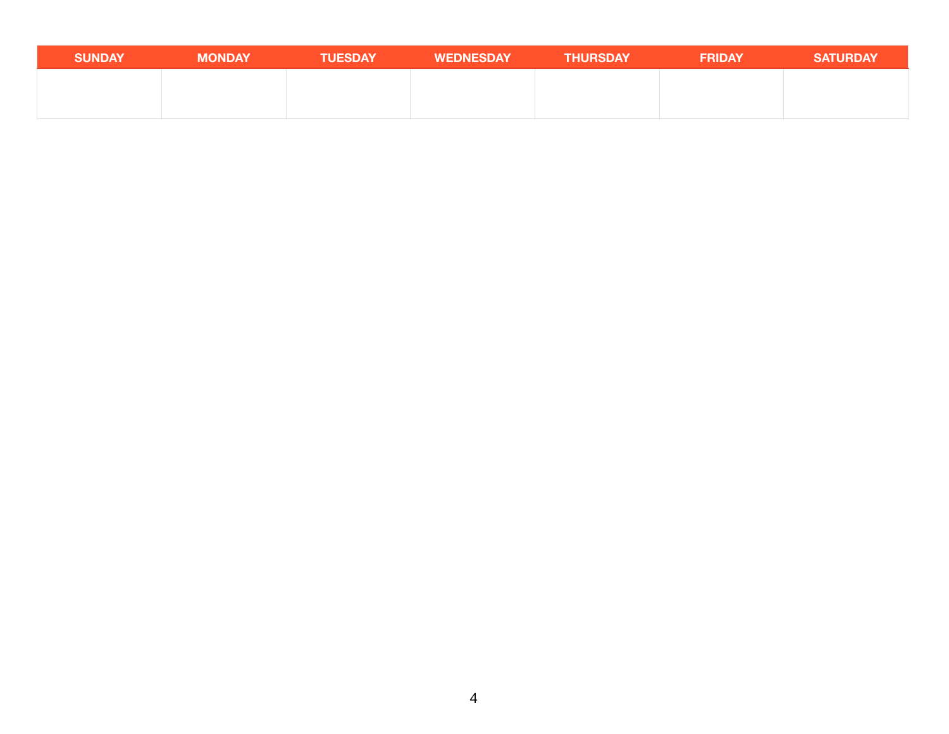| <b>SUNDAY</b> | <b>MONDAY</b> | <b>TUESDAY</b> | <b>WEDNESDAY</b> | <b>THURSDAY</b> | <b>FRIDAY</b> | <b>SATURDAY</b> |
|---------------|---------------|----------------|------------------|-----------------|---------------|-----------------|
|               |               |                |                  |                 |               |                 |
|               |               |                |                  |                 |               |                 |
|               |               |                |                  |                 |               |                 |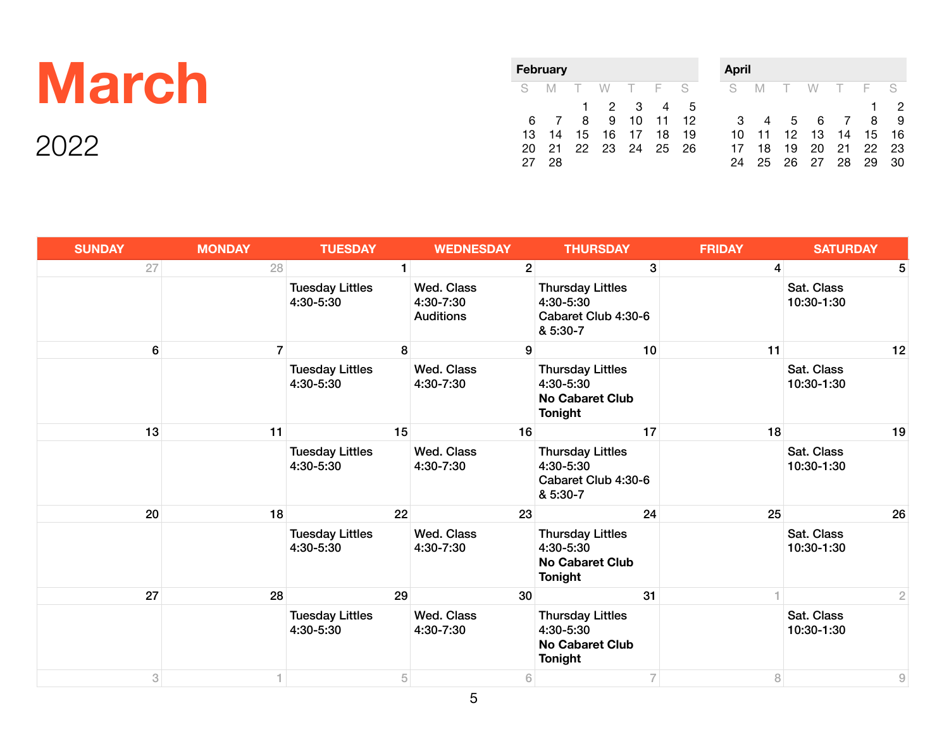## **March**

| <b>February</b> |    |      |    |      |     |    |  |  |  |
|-----------------|----|------|----|------|-----|----|--|--|--|
| S               | M  | - F. | W  | - F. | - F | S  |  |  |  |
|                 |    | 1.   | 2  | З    |     | 5  |  |  |  |
| 6               | 7  | 8    | 9  | 10   | 11  | 12 |  |  |  |
| 13              | 14 | 15   | 16 | 17   | 18  | 19 |  |  |  |
| 20              | 21 | 22   | 23 | 24   | 25  | 26 |  |  |  |
| 27              | 28 |      |    |      |     |    |  |  |  |

| <b>April</b> |    |        |    |                |     |    |
|--------------|----|--------|----|----------------|-----|----|
| S            | M  | $\top$ | W. | $\top$         | - F | S  |
|              |    |        |    |                | 1   | 2  |
| 3            | 4  | 5      | 6  | $\overline{7}$ | 8   | 9  |
| 10           | 11 | 12     | 13 | 14             | 15  | 16 |
| 17           | 18 | 19     | 20 | 21             | 22  | 23 |
| 24           | 25 | 26     | 27 | 28             | 29  | 30 |

| <b>SUNDAY</b> | <b>MONDAY</b> | <b>TUESDAY</b>                      | <b>WEDNESDAY</b>                            | <b>THURSDAY</b>                                                                  | <b>FRIDAY</b>           | <b>SATURDAY</b>          |
|---------------|---------------|-------------------------------------|---------------------------------------------|----------------------------------------------------------------------------------|-------------------------|--------------------------|
| 27            | 28            | $\mathbf{1}$                        | 2 <sup>1</sup>                              | 3 <sup>1</sup>                                                                   | $\overline{\mathbf{4}}$ | 5                        |
|               |               | <b>Tuesday Littles</b><br>4:30-5:30 | Wed. Class<br>4:30-7:30<br><b>Auditions</b> | <b>Thursday Littles</b><br>4:30-5:30<br>Cabaret Club 4:30-6<br>& 5:30-7          |                         | Sat. Class<br>10:30-1:30 |
| 6             | $\mathbf{7}$  | 8                                   | 9                                           | 10                                                                               | 11                      | 12                       |
|               |               | <b>Tuesday Littles</b><br>4:30-5:30 | Wed. Class<br>4:30-7:30                     | <b>Thursday Littles</b><br>4:30-5:30<br><b>No Cabaret Club</b><br><b>Tonight</b> |                         | Sat. Class<br>10:30-1:30 |
| 13            | 11            | 15                                  | 16                                          | 17                                                                               | 18                      | 19                       |
|               |               | <b>Tuesday Littles</b><br>4:30-5:30 | Wed. Class<br>4:30-7:30                     | <b>Thursday Littles</b><br>4:30-5:30<br>Cabaret Club 4:30-6<br>& 5:30-7          |                         | Sat. Class<br>10:30-1:30 |
| 20            | 18            | 22                                  | 23                                          | 24                                                                               | 25                      | 26                       |
|               |               | <b>Tuesday Littles</b><br>4:30-5:30 | Wed. Class<br>4:30-7:30                     | <b>Thursday Littles</b><br>4:30-5:30<br><b>No Cabaret Club</b><br>Tonight        |                         | Sat. Class<br>10:30-1:30 |
| 27            | 28            | 29                                  | 30                                          | 31                                                                               |                         | $\overline{2}$           |
|               |               | <b>Tuesday Littles</b><br>4:30-5:30 | Wed. Class<br>4:30-7:30                     | <b>Thursday Littles</b><br>4:30-5:30<br><b>No Cabaret Club</b><br><b>Tonight</b> |                         | Sat. Class<br>10:30-1:30 |
| 3             |               | 5                                   | $6\,$                                       | 7 <sup>1</sup>                                                                   | 8                       | $\mathcal G$             |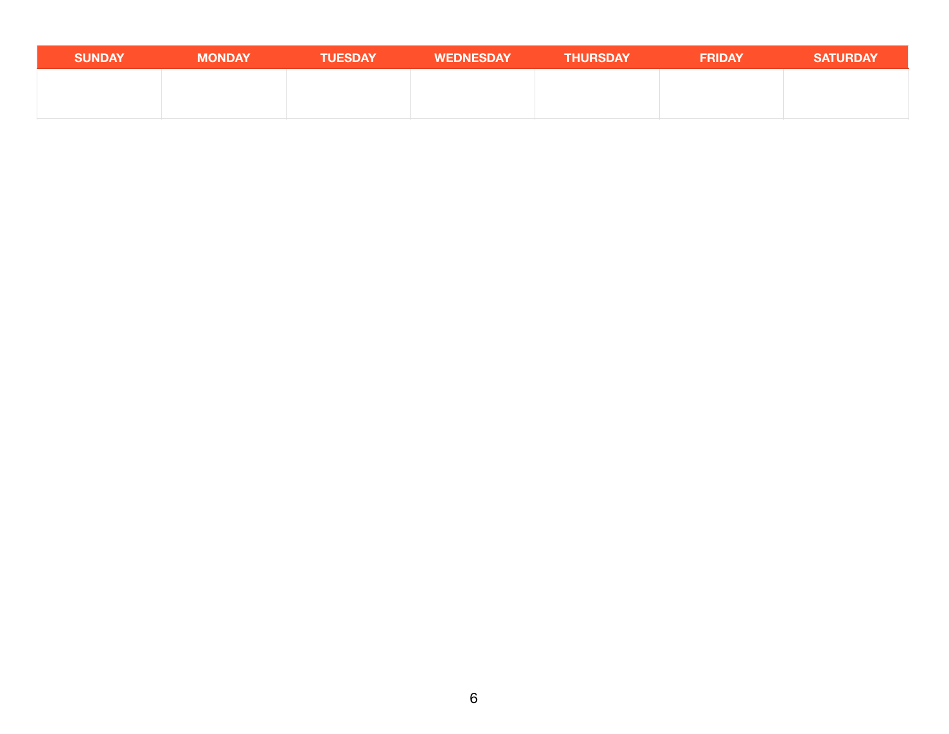| <b>SUNDAY</b> | <b>MONDAY</b> | <b>TUESDAY</b> | <b>WEDNESDAY</b> | <b>THURSDAY</b> | <b>FRIDAY</b> | <b>SATURDAY</b> |
|---------------|---------------|----------------|------------------|-----------------|---------------|-----------------|
|               |               |                |                  |                 |               |                 |
|               |               |                |                  |                 |               |                 |
|               |               |                |                  |                 |               |                 |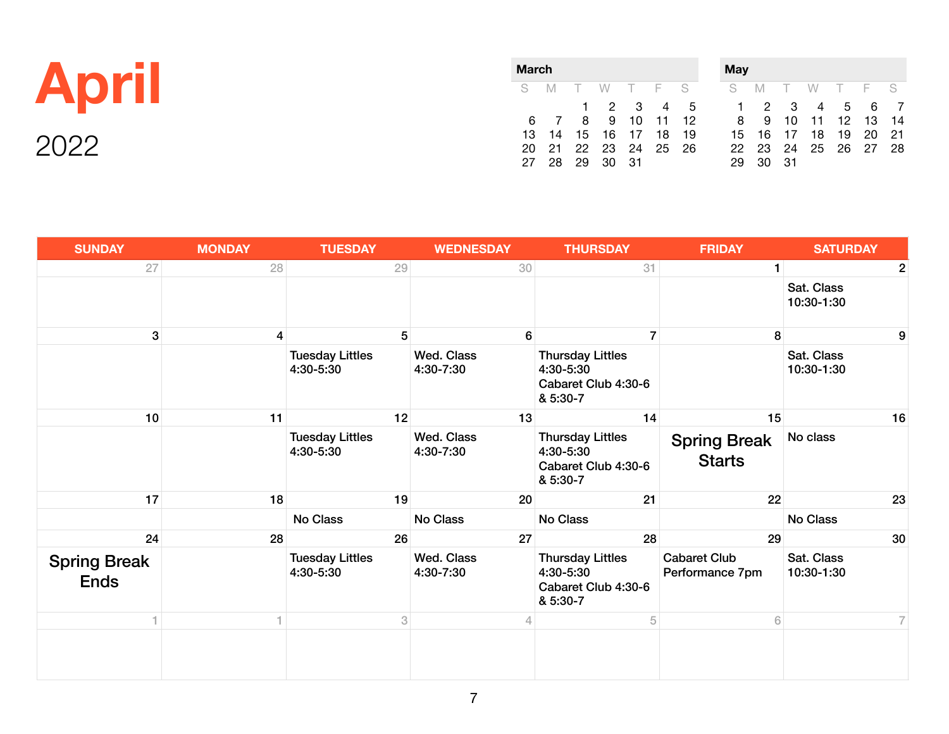|              | <b>March</b> |                            |  |             |  |  |           |  |
|--------------|--------------|----------------------------|--|-------------|--|--|-----------|--|
| <b>April</b> |              | S M T W T F S              |  |             |  |  | 1 2 3 4 5 |  |
|              | 13.          | 6 7 8 9 10 11<br>- 14      |  | 15 16 17 18 |  |  | 12<br>19  |  |
| 2022         | 27           | 20 21 22 23 24 25 26<br>28 |  | 29 30 31    |  |  |           |  |

| May |    |    |     |        |     |    |
|-----|----|----|-----|--------|-----|----|
| S   | M  | T  | W . | $\top$ | - F | S  |
| 1   | 2  | 3  | 4   | 5      | 6   |    |
| 8   | 9  | 10 | 11  | 12     | 13  | 14 |
| 15  | 16 | 17 | 18  | 19     | 20  | 21 |
| 22  | 23 | 24 | 25  | -26    | 27  | 28 |
| 29  | 30 | 31 |     |        |     |    |

| <b>SUNDAY</b>                      | <b>MONDAY</b>   | <b>TUESDAY</b>                      | <b>WEDNESDAY</b>        | <b>THURSDAY</b>                                                         | <b>FRIDAY</b>                          | <b>SATURDAY</b>          |
|------------------------------------|-----------------|-------------------------------------|-------------------------|-------------------------------------------------------------------------|----------------------------------------|--------------------------|
| 27                                 | 28              | 29                                  | 30                      | 31                                                                      | $\mathbf{1}$                           | 2                        |
|                                    |                 |                                     |                         |                                                                         |                                        | Sat. Class<br>10:30-1:30 |
| $\boldsymbol{3}$                   | $\vert 4 \vert$ | 5                                   | 6                       | $\overline{7}$                                                          | 8                                      | 9                        |
|                                    |                 | <b>Tuesday Littles</b><br>4:30-5:30 | Wed. Class<br>4:30-7:30 | <b>Thursday Littles</b><br>4:30-5:30<br>Cabaret Club 4:30-6<br>& 5:30-7 |                                        | Sat. Class<br>10:30-1:30 |
| 10                                 | 11              | 12                                  | 13                      | 14                                                                      | 15                                     | 16                       |
|                                    |                 | <b>Tuesday Littles</b><br>4:30-5:30 | Wed. Class<br>4:30-7:30 | <b>Thursday Littles</b><br>4:30-5:30<br>Cabaret Club 4:30-6<br>& 5:30-7 | <b>Spring Break</b><br><b>Starts</b>   | No class                 |
| 17                                 | 18              | 19                                  | 20                      | 21                                                                      | 22                                     | 23                       |
|                                    |                 | No Class                            | No Class                | No Class                                                                |                                        | No Class                 |
| 24                                 | 28              | 26                                  | 27                      | 28                                                                      | 29                                     | 30                       |
| <b>Spring Break</b><br><b>Ends</b> |                 | <b>Tuesday Littles</b><br>4:30-5:30 | Wed. Class<br>4:30-7:30 | <b>Thursday Littles</b><br>4:30-5:30<br>Cabaret Club 4:30-6<br>& 5:30-7 | <b>Cabaret Club</b><br>Performance 7pm | Sat. Class<br>10:30-1:30 |
|                                    |                 | 3                                   | 4                       | 5                                                                       | 6                                      | 7                        |
|                                    |                 |                                     |                         |                                                                         |                                        |                          |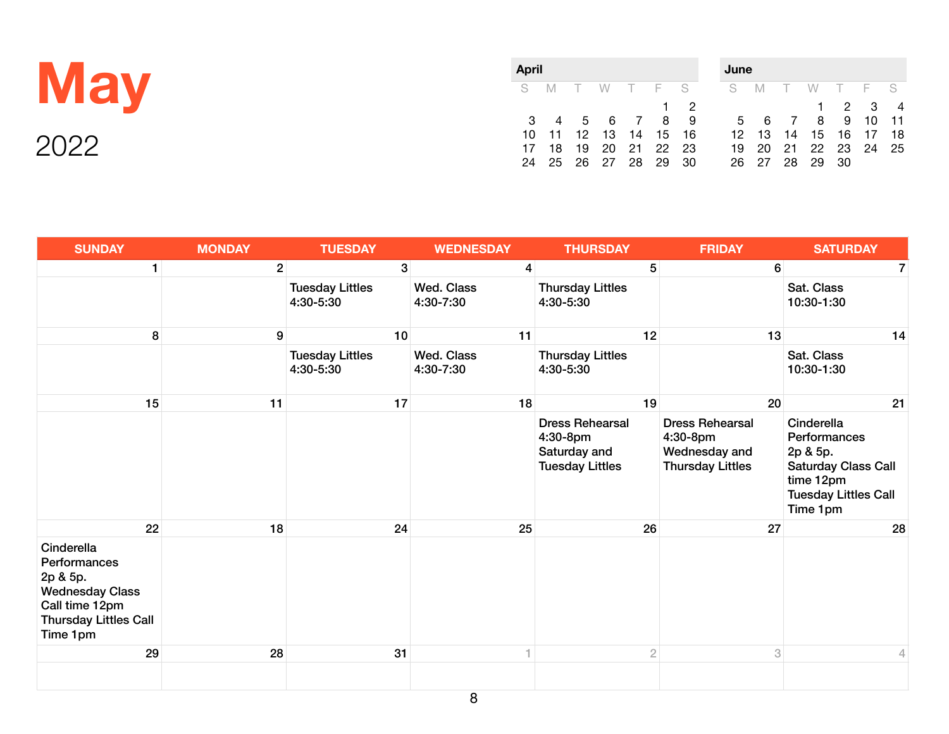|      | April |  |  |                                                    | June                                                                                                                                                    |  |                                        |  |  |  |  |  |  |
|------|-------|--|--|----------------------------------------------------|---------------------------------------------------------------------------------------------------------------------------------------------------------|--|----------------------------------------|--|--|--|--|--|--|
|      |       |  |  |                                                    | SMTWTFS SMTWTFS                                                                                                                                         |  |                                        |  |  |  |  |  |  |
| ついつつ |       |  |  | 17 18 19 20 21 22 23<br>24  25  26  27  28  29  30 | $\begin{array}{cccccccccccccc} 1 & 2 & & & & & 1 & 2 & 3 & 4 \end{array}$<br>3 4 5 6 7 8 9 5 6 7 8 9 10 11<br>10 11 12 13 14 15 16 12 13 14 15 16 17 18 |  | 19 20 21 22 23 24 25<br>26 27 28 29 30 |  |  |  |  |  |  |

| <b>SUNDAY</b>                                                                                                                  | <b>MONDAY</b>  | <b>TUESDAY</b>                      | <b>WEDNESDAY</b>               | <b>THURSDAY</b>                                                              | <b>FRIDAY</b>                                                                  | <b>SATURDAY</b>                                                                                                              |
|--------------------------------------------------------------------------------------------------------------------------------|----------------|-------------------------------------|--------------------------------|------------------------------------------------------------------------------|--------------------------------------------------------------------------------|------------------------------------------------------------------------------------------------------------------------------|
| $\mathbf{1}$                                                                                                                   | 2 <sup>1</sup> | 3 <sup>1</sup>                      | $\overline{4}$                 | 5 <sup>1</sup>                                                               | $6\phantom{1}$                                                                 | 7                                                                                                                            |
|                                                                                                                                |                | <b>Tuesday Littles</b><br>4:30-5:30 | <b>Wed. Class</b><br>4:30-7:30 | <b>Thursday Littles</b><br>4:30-5:30                                         |                                                                                | Sat. Class<br>10:30-1:30                                                                                                     |
| 8                                                                                                                              | 9              | 10                                  | 11                             | 12                                                                           | 13                                                                             | 14                                                                                                                           |
|                                                                                                                                |                | <b>Tuesday Littles</b><br>4:30-5:30 | <b>Wed. Class</b><br>4:30-7:30 | <b>Thursday Littles</b><br>4:30-5:30                                         |                                                                                | Sat. Class<br>10:30-1:30                                                                                                     |
| 15                                                                                                                             | 11             | 17                                  | 18                             | 19                                                                           | 20                                                                             | 21                                                                                                                           |
|                                                                                                                                |                |                                     |                                | <b>Dress Rehearsal</b><br>4:30-8pm<br>Saturday and<br><b>Tuesday Littles</b> | <b>Dress Rehearsal</b><br>4:30-8pm<br>Wednesday and<br><b>Thursday Littles</b> | Cinderella<br>Performances<br>2p & 5p.<br><b>Saturday Class Call</b><br>time 12pm<br><b>Tuesday Littles Call</b><br>Time 1pm |
| 22                                                                                                                             | 18             | 24                                  | 25                             | 26                                                                           | 27                                                                             | 28                                                                                                                           |
| Cinderella<br>Performances<br>2p & 5p.<br><b>Wednesday Class</b><br>Call time 12pm<br><b>Thursday Littles Call</b><br>Time 1pm |                |                                     |                                |                                                                              |                                                                                |                                                                                                                              |
| 29                                                                                                                             | 28             | 31                                  |                                | $\overline{2}$                                                               | 3                                                                              | 4                                                                                                                            |
|                                                                                                                                |                |                                     |                                |                                                                              |                                                                                |                                                                                                                              |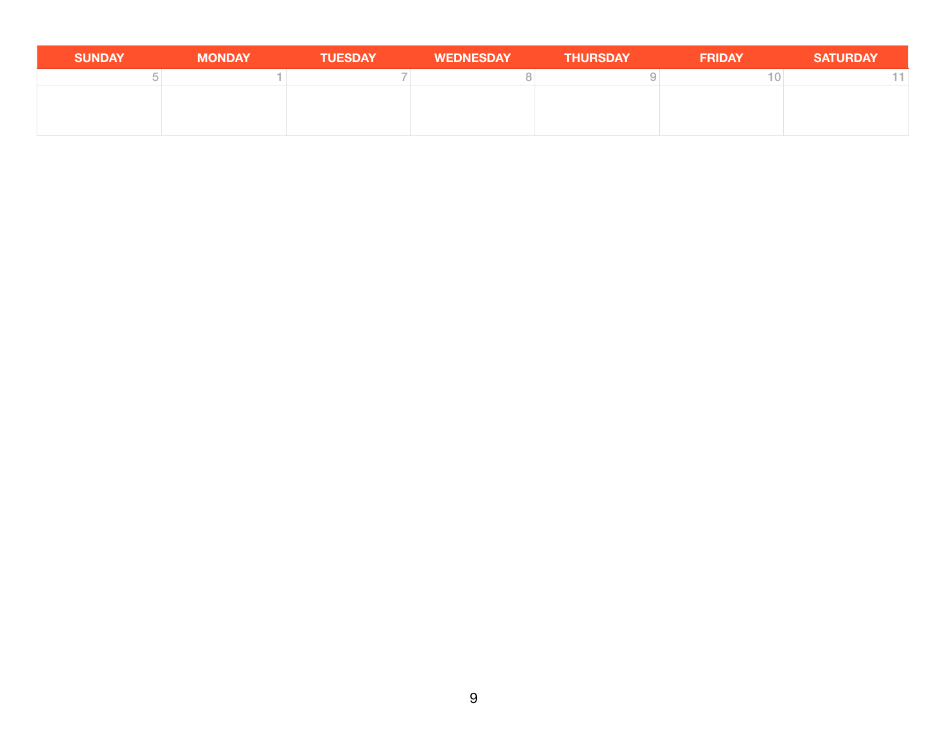| <b>SUNDAY</b> | <b>MONDAY</b> | <b>TUESDAY</b> | <b>WEDNESDAY</b> | <b>THURSDAY</b> | <b>FRIDAY</b> | <b>SATURDAY</b> |
|---------------|---------------|----------------|------------------|-----------------|---------------|-----------------|
|               |               |                |                  |                 |               |                 |
|               |               |                |                  |                 |               |                 |
|               |               |                |                  |                 |               |                 |
|               |               |                |                  |                 |               |                 |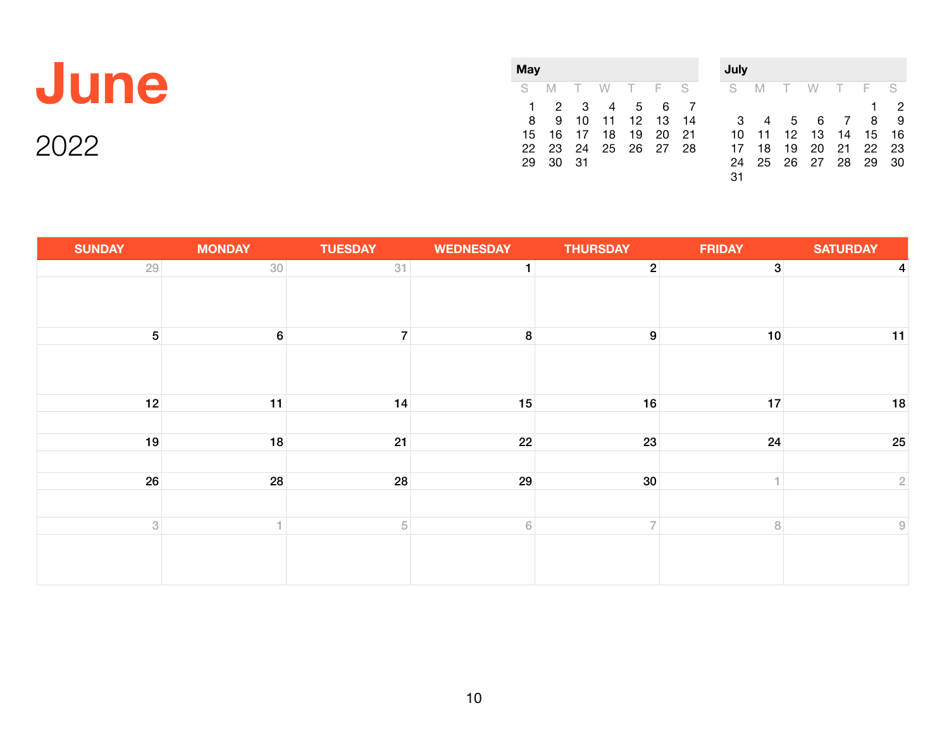| Jun |
|-----|
|-----|

| May |    |          |          |                 |    |      |
|-----|----|----------|----------|-----------------|----|------|
| S.  | M  |          | T W T F  |                 |    | -S   |
|     | 2  | 3        | 4        | $5\overline{)}$ | 6  |      |
| 8   | 9  |          | 10 11 12 |                 | 13 | 14   |
| 15  |    | 16 17 18 |          | 19              | 20 | - 21 |
| 22  | 23 | 24       | 25 26 27 |                 |    | 28   |
| 29  | 30 | - 31     |          |                 |    |      |

| July |    |                 |    |                |    |    |
|------|----|-----------------|----|----------------|----|----|
| S    | M  | $\top$          | W  | $T-F$          |    | S  |
|      |    |                 |    |                | 1  | 2  |
| З    |    | $5\overline{)}$ | 6  | $\overline{7}$ | 8  | 9  |
| 10   | 11 | 12              | 13 | 14             | 15 | 16 |
| 17   | 18 | 19              | 20 | 21             | 22 | 23 |
| 24   | 25 | 26              | 27 | 28             | 29 | 30 |
| 31   |    |                 |    |                |    |    |

| <b>SUNDAY</b>             | <b>MONDAY</b>    | <b>TUESDAY</b> | <b>WEDNESDAY</b> | <b>THURSDAY</b>  | <b>FRIDAY</b>  | <b>SATURDAY</b>            |
|---------------------------|------------------|----------------|------------------|------------------|----------------|----------------------------|
| 29                        | 30               | 31             | $\mathbf{1}$     | $\overline{2}$   | 3 <sup>1</sup> | 4                          |
|                           |                  |                |                  |                  |                |                            |
| 5 <sup>1</sup>            | $6 \overline{6}$ | $\overline{7}$ | 8                | $\boldsymbol{9}$ | 10             | 11                         |
|                           |                  |                |                  |                  |                |                            |
| 12                        | 11               | 14             | 15               | 16               | 17             | 18                         |
|                           |                  |                |                  |                  |                |                            |
| 19                        | 18               | 21             | 22               | 23               | 24             | 25                         |
|                           |                  |                |                  |                  |                |                            |
| 26                        | 28               | 28             | 29               | 30               | н              | $\sqrt{2}$                 |
|                           |                  |                |                  |                  |                |                            |
| $\ensuremath{\mathbf{3}}$ |                  | $\sqrt{5}$     | $\,$ 6 $\,$      | $\overline{7}$   | $\, 8$         | $\ensuremath{\mathcal{G}}$ |
|                           |                  |                |                  |                  |                |                            |